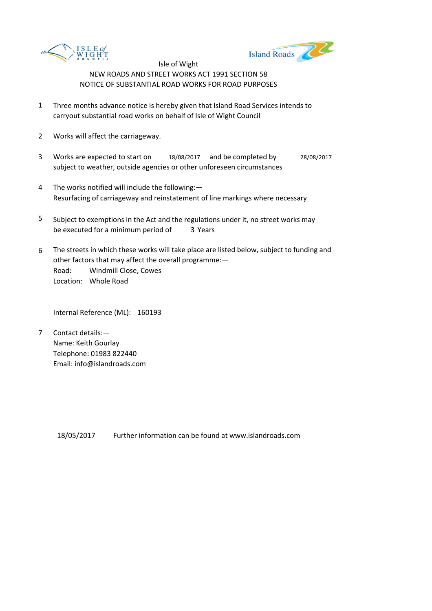



- 1 Three months advance notice is hereby given that Island Road Services intends to carryout substantial road works on behalf of Isle of Wight Council
- 2 Works will affect the carriageway.
- 3 Works are expected to start on 18/08/2017 and be completed by 28/08/2017 subject to weather, outside agencies or other unforeseen circumstances
- 4 The works notified will include the following:— Resurfacing of carriageway and reinstatement of line markings where necessary
- 5 be executed for a minimum period of 3 Years Subject to exemptions in the Act and the regulations under it, no street works may
- 6 Road: Windmill Close, Cowes Location: Whole Road The streets in which these works will take place are listed below, subject to funding and other factors that may affect the overall programme:—

Internal Reference (ML): 160193

7 Contact details:— Name: Keith Gourlay Telephone: 01983 822440 Email: info@islandroads.com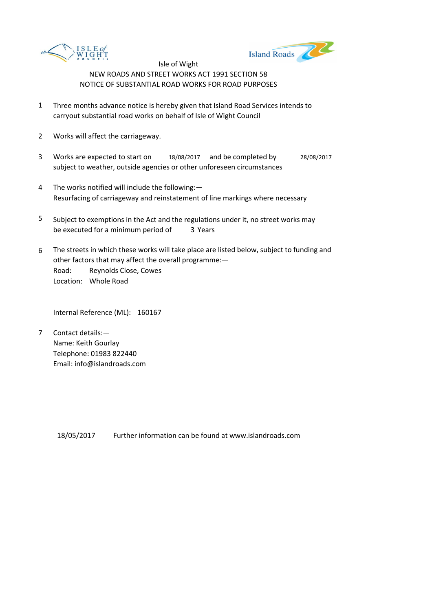



- 1 Three months advance notice is hereby given that Island Road Services intends to carryout substantial road works on behalf of Isle of Wight Council
- 2 Works will affect the carriageway.
- 3 Works are expected to start on 18/08/2017 and be completed by 28/08/2017 subject to weather, outside agencies or other unforeseen circumstances
- 4 The works notified will include the following:— Resurfacing of carriageway and reinstatement of line markings where necessary
- 5 be executed for a minimum period of 3 Years Subject to exemptions in the Act and the regulations under it, no street works may
- 6 Road: Reynolds Close, Cowes Location: Whole Road The streets in which these works will take place are listed below, subject to funding and other factors that may affect the overall programme:—

Internal Reference (ML): 160167

7 Contact details:— Name: Keith Gourlay Telephone: 01983 822440 Email: info@islandroads.com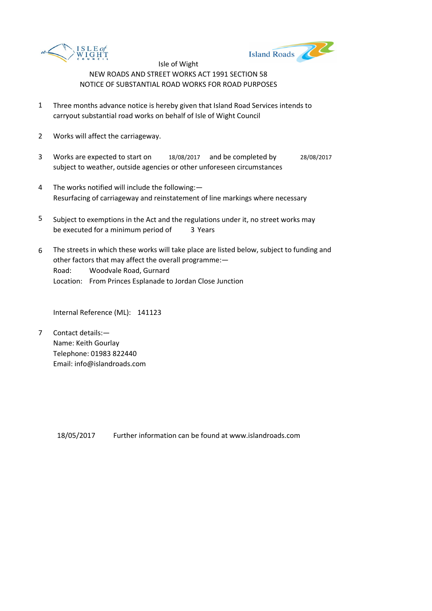



- 1 Three months advance notice is hereby given that Island Road Services intends to carryout substantial road works on behalf of Isle of Wight Council
- 2 Works will affect the carriageway.
- 3 Works are expected to start on 18/08/2017 and be completed by 28/08/2017 subject to weather, outside agencies or other unforeseen circumstances
- 4 The works notified will include the following:— Resurfacing of carriageway and reinstatement of line markings where necessary
- 5 be executed for a minimum period of 3 Years Subject to exemptions in the Act and the regulations under it, no street works may
- 6 Road: Woodvale Road, Gurnard Location: From Princes Esplanade to Jordan Close Junction The streets in which these works will take place are listed below, subject to funding and other factors that may affect the overall programme:—

Internal Reference (ML): 141123

7 Contact details:— Name: Keith Gourlay Telephone: 01983 822440 Email: info@islandroads.com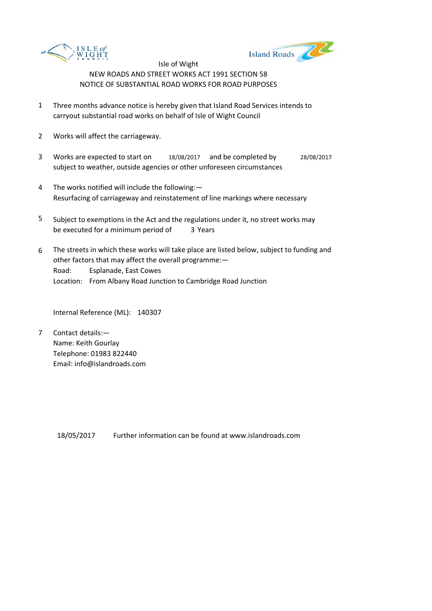



- 1 Three months advance notice is hereby given that Island Road Services intends to carryout substantial road works on behalf of Isle of Wight Council
- 2 Works will affect the carriageway.
- 3 Works are expected to start on 18/08/2017 and be completed by 28/08/2017 subject to weather, outside agencies or other unforeseen circumstances
- 4 The works notified will include the following:— Resurfacing of carriageway and reinstatement of line markings where necessary
- 5 be executed for a minimum period of 3 Years Subject to exemptions in the Act and the regulations under it, no street works may
- 6 Road: Esplanade, East Cowes Location: From Albany Road Junction to Cambridge Road Junction The streets in which these works will take place are listed below, subject to funding and other factors that may affect the overall programme:—

Internal Reference (ML): 140307

7 Contact details:— Name: Keith Gourlay Telephone: 01983 822440 Email: info@islandroads.com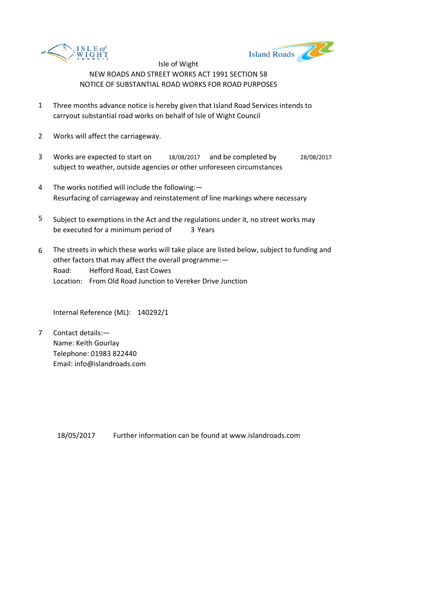



- 1 Three months advance notice is hereby given that Island Road Services intends to carryout substantial road works on behalf of Isle of Wight Council
- 2 Works will affect the carriageway.
- 3 Works are expected to start on 18/08/2017 and be completed by 28/08/2017 subject to weather, outside agencies or other unforeseen circumstances
- 4 The works notified will include the following:— Resurfacing of carriageway and reinstatement of line markings where necessary
- 5 be executed for a minimum period of 3 Years Subject to exemptions in the Act and the regulations under it, no street works may
- 6 Road: Hefford Road, East Cowes Location: From Old Road Junction to Vereker Drive Junction The streets in which these works will take place are listed below, subject to funding and other factors that may affect the overall programme:—

Internal Reference (ML): 140292/1

7 Contact details:— Name: Keith Gourlay Telephone: 01983 822440 Email: info@islandroads.com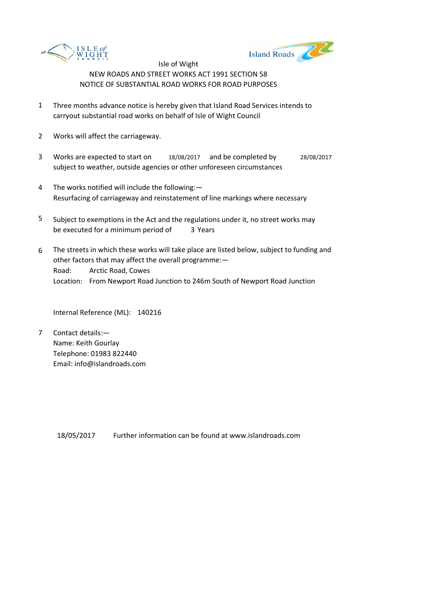



- 1 Three months advance notice is hereby given that Island Road Services intends to carryout substantial road works on behalf of Isle of Wight Council
- 2 Works will affect the carriageway.
- 3 Works are expected to start on 18/08/2017 and be completed by 28/08/2017 subject to weather, outside agencies or other unforeseen circumstances
- 4 The works notified will include the following:— Resurfacing of carriageway and reinstatement of line markings where necessary
- 5 be executed for a minimum period of 3 Years Subject to exemptions in the Act and the regulations under it, no street works may
- 6 Road: Arctic Road, Cowes Location: From Newport Road Junction to 246m South of Newport Road Junction The streets in which these works will take place are listed below, subject to funding and other factors that may affect the overall programme:—

Internal Reference (ML): 140216

7 Contact details:— Name: Keith Gourlay Telephone: 01983 822440 Email: info@islandroads.com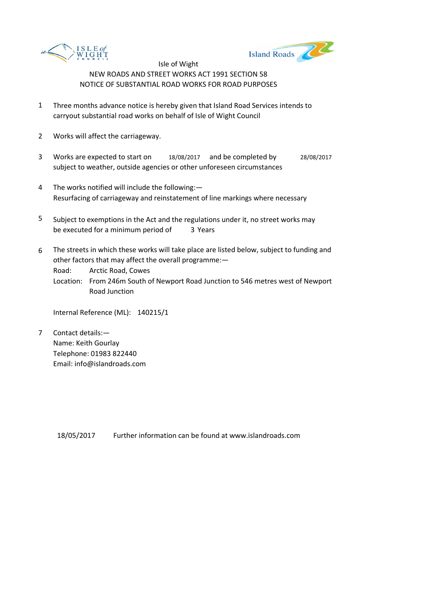



- 1 Three months advance notice is hereby given that Island Road Services intends to carryout substantial road works on behalf of Isle of Wight Council
- 2 Works will affect the carriageway.
- 3 Works are expected to start on 18/08/2017 and be completed by 28/08/2017 subject to weather, outside agencies or other unforeseen circumstances
- 4 The works notified will include the following:— Resurfacing of carriageway and reinstatement of line markings where necessary
- 5 be executed for a minimum period of 3 Years Subject to exemptions in the Act and the regulations under it, no street works may
- 6 The streets in which these works will take place are listed below, subject to funding and other factors that may affect the overall programme:—

Road: Arctic Road, Cowes

Location: From 246m South of Newport Road Junction to 546 metres west of Newport Road Junction

Internal Reference (ML): 140215/1

7 Contact details:— Name: Keith Gourlay Telephone: 01983 822440 Email: info@islandroads.com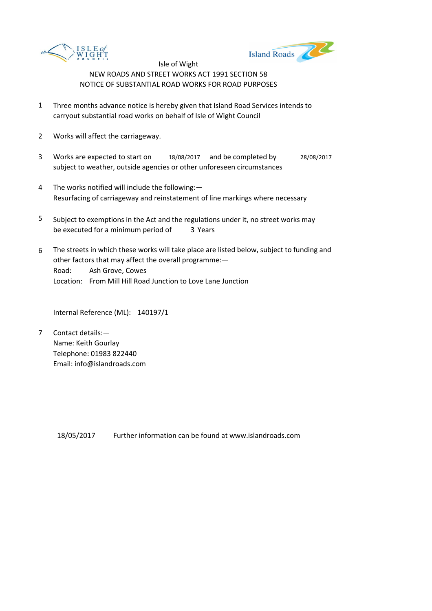



- 1 Three months advance notice is hereby given that Island Road Services intends to carryout substantial road works on behalf of Isle of Wight Council
- 2 Works will affect the carriageway.
- 3 Works are expected to start on 18/08/2017 and be completed by 28/08/2017 subject to weather, outside agencies or other unforeseen circumstances
- 4 The works notified will include the following:— Resurfacing of carriageway and reinstatement of line markings where necessary
- 5 be executed for a minimum period of 3 Years Subject to exemptions in the Act and the regulations under it, no street works may
- 6 Road: Ash Grove, Cowes Location: From Mill Hill Road Junction to Love Lane Junction The streets in which these works will take place are listed below, subject to funding and other factors that may affect the overall programme:—

Internal Reference (ML): 140197/1

7 Contact details:— Name: Keith Gourlay Telephone: 01983 822440 Email: info@islandroads.com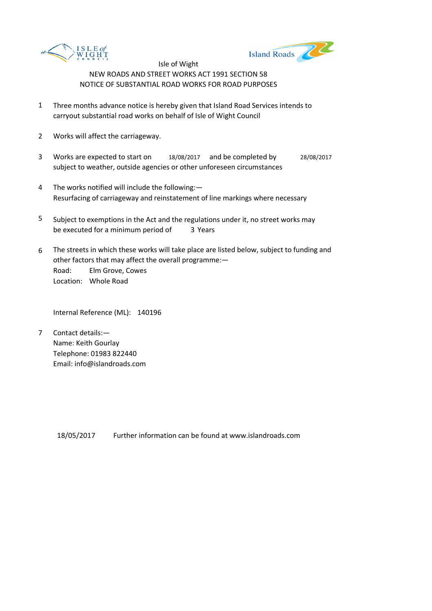



- 1 Three months advance notice is hereby given that Island Road Services intends to carryout substantial road works on behalf of Isle of Wight Council
- 2 Works will affect the carriageway.
- 3 Works are expected to start on 18/08/2017 and be completed by 28/08/2017 subject to weather, outside agencies or other unforeseen circumstances
- 4 The works notified will include the following:— Resurfacing of carriageway and reinstatement of line markings where necessary
- 5 be executed for a minimum period of 3 Years Subject to exemptions in the Act and the regulations under it, no street works may
- 6 Road: Elm Grove, Cowes Location: Whole Road The streets in which these works will take place are listed below, subject to funding and other factors that may affect the overall programme:—

Internal Reference (ML): 140196

7 Contact details:— Name: Keith Gourlay Telephone: 01983 822440 Email: info@islandroads.com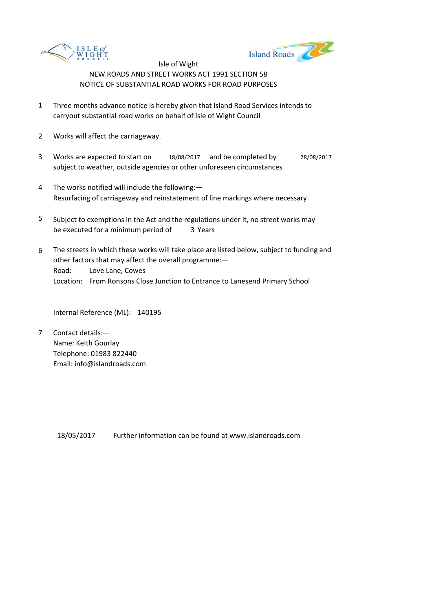



- 1 Three months advance notice is hereby given that Island Road Services intends to carryout substantial road works on behalf of Isle of Wight Council
- 2 Works will affect the carriageway.
- 3 Works are expected to start on 18/08/2017 and be completed by 28/08/2017 subject to weather, outside agencies or other unforeseen circumstances
- 4 The works notified will include the following:— Resurfacing of carriageway and reinstatement of line markings where necessary
- 5 be executed for a minimum period of 3 Years Subject to exemptions in the Act and the regulations under it, no street works may
- 6 Road: Love Lane, Cowes Location: From Ronsons Close Junction to Entrance to Lanesend Primary School The streets in which these works will take place are listed below, subject to funding and other factors that may affect the overall programme:—

Internal Reference (ML): 140195

7 Contact details:— Name: Keith Gourlay Telephone: 01983 822440 Email: info@islandroads.com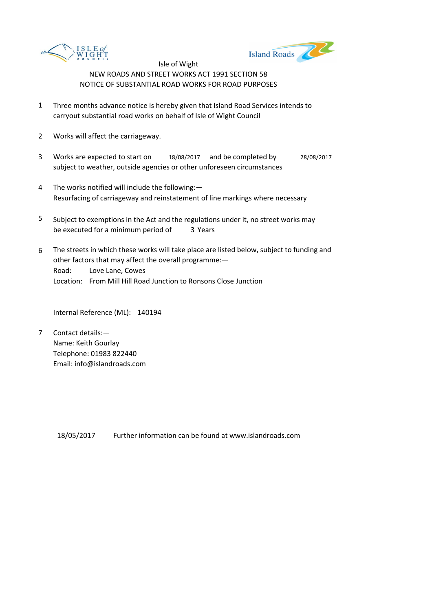



- 1 Three months advance notice is hereby given that Island Road Services intends to carryout substantial road works on behalf of Isle of Wight Council
- 2 Works will affect the carriageway.
- 3 Works are expected to start on 18/08/2017 and be completed by 28/08/2017 subject to weather, outside agencies or other unforeseen circumstances
- 4 The works notified will include the following:— Resurfacing of carriageway and reinstatement of line markings where necessary
- 5 be executed for a minimum period of 3 Years Subject to exemptions in the Act and the regulations under it, no street works may
- 6 Road: Love Lane, Cowes Location: From Mill Hill Road Junction to Ronsons Close Junction The streets in which these works will take place are listed below, subject to funding and other factors that may affect the overall programme:—

Internal Reference (ML): 140194

7 Contact details:— Name: Keith Gourlay Telephone: 01983 822440 Email: info@islandroads.com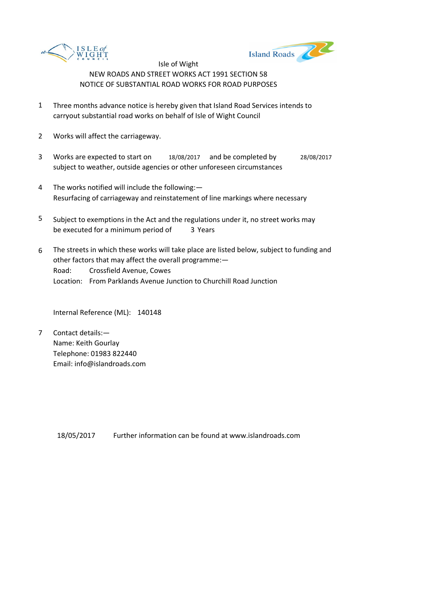



- 1 Three months advance notice is hereby given that Island Road Services intends to carryout substantial road works on behalf of Isle of Wight Council
- 2 Works will affect the carriageway.
- 3 Works are expected to start on 18/08/2017 and be completed by 28/08/2017 subject to weather, outside agencies or other unforeseen circumstances
- 4 The works notified will include the following:— Resurfacing of carriageway and reinstatement of line markings where necessary
- 5 be executed for a minimum period of 3 Years Subject to exemptions in the Act and the regulations under it, no street works may
- 6 Road: Crossfield Avenue, Cowes Location: From Parklands Avenue Junction to Churchill Road Junction The streets in which these works will take place are listed below, subject to funding and other factors that may affect the overall programme:—

Internal Reference (ML): 140148

7 Contact details:— Name: Keith Gourlay Telephone: 01983 822440 Email: info@islandroads.com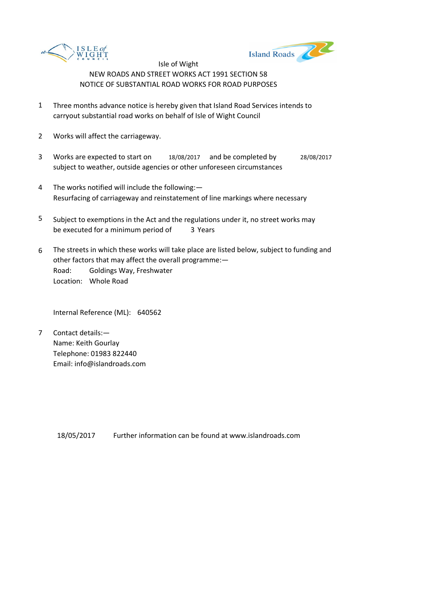



- 1 Three months advance notice is hereby given that Island Road Services intends to carryout substantial road works on behalf of Isle of Wight Council
- 2 Works will affect the carriageway.
- 3 Works are expected to start on 18/08/2017 and be completed by 28/08/2017 subject to weather, outside agencies or other unforeseen circumstances
- 4 The works notified will include the following:— Resurfacing of carriageway and reinstatement of line markings where necessary
- 5 be executed for a minimum period of 3 Years Subject to exemptions in the Act and the regulations under it, no street works may
- 6 Road: Goldings Way, Freshwater Location: Whole Road The streets in which these works will take place are listed below, subject to funding and other factors that may affect the overall programme:—

Internal Reference (ML): 640562

7 Contact details:— Name: Keith Gourlay Telephone: 01983 822440 Email: info@islandroads.com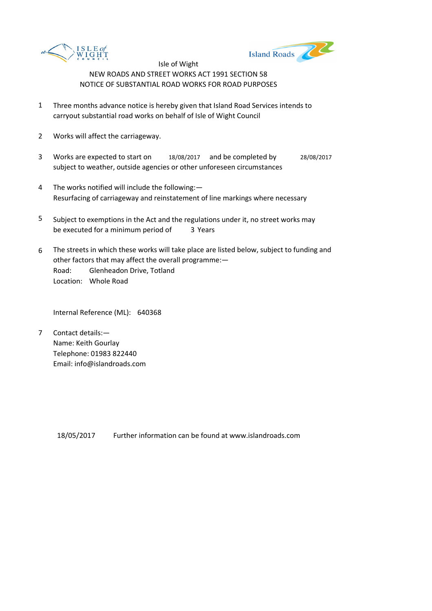



- 1 Three months advance notice is hereby given that Island Road Services intends to carryout substantial road works on behalf of Isle of Wight Council
- 2 Works will affect the carriageway.
- 3 Works are expected to start on 18/08/2017 and be completed by 28/08/2017 subject to weather, outside agencies or other unforeseen circumstances
- 4 The works notified will include the following:— Resurfacing of carriageway and reinstatement of line markings where necessary
- 5 be executed for a minimum period of 3 Years Subject to exemptions in the Act and the regulations under it, no street works may
- 6 Road: Glenheadon Drive, Totland Location: Whole Road The streets in which these works will take place are listed below, subject to funding and other factors that may affect the overall programme:—

Internal Reference (ML): 640368

7 Contact details:— Name: Keith Gourlay Telephone: 01983 822440 Email: info@islandroads.com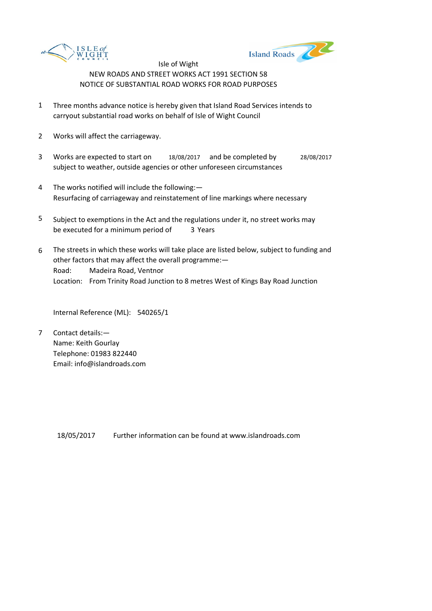



- 1 Three months advance notice is hereby given that Island Road Services intends to carryout substantial road works on behalf of Isle of Wight Council
- 2 Works will affect the carriageway.
- 3 Works are expected to start on 18/08/2017 and be completed by 28/08/2017 subject to weather, outside agencies or other unforeseen circumstances
- 4 The works notified will include the following:— Resurfacing of carriageway and reinstatement of line markings where necessary
- 5 be executed for a minimum period of 3 Years Subject to exemptions in the Act and the regulations under it, no street works may
- 6 Road: Madeira Road, Ventnor Location: From Trinity Road Junction to 8 metres West of Kings Bay Road Junction The streets in which these works will take place are listed below, subject to funding and other factors that may affect the overall programme:—

Internal Reference (ML): 540265/1

7 Contact details:— Name: Keith Gourlay Telephone: 01983 822440 Email: info@islandroads.com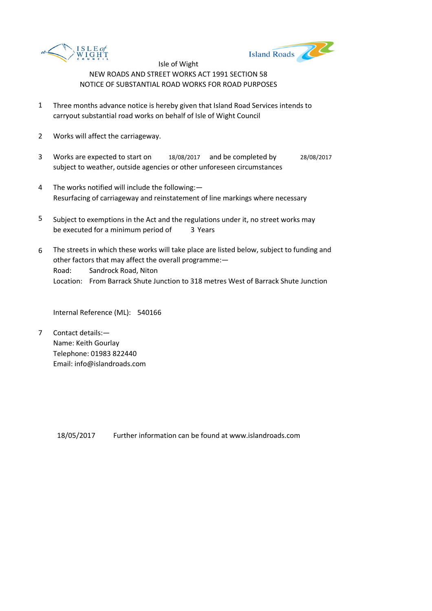



- 1 Three months advance notice is hereby given that Island Road Services intends to carryout substantial road works on behalf of Isle of Wight Council
- 2 Works will affect the carriageway.
- 3 Works are expected to start on 18/08/2017 and be completed by 28/08/2017 subject to weather, outside agencies or other unforeseen circumstances
- 4 The works notified will include the following:— Resurfacing of carriageway and reinstatement of line markings where necessary
- 5 be executed for a minimum period of 3 Years Subject to exemptions in the Act and the regulations under it, no street works may
- 6 Road: Sandrock Road, Niton Location: From Barrack Shute Junction to 318 metres West of Barrack Shute Junction The streets in which these works will take place are listed below, subject to funding and other factors that may affect the overall programme:—

Internal Reference (ML): 540166

7 Contact details:— Name: Keith Gourlay Telephone: 01983 822440 Email: info@islandroads.com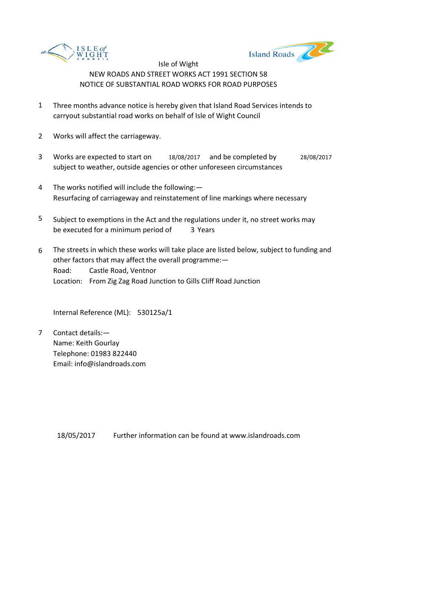



- 1 Three months advance notice is hereby given that Island Road Services intends to carryout substantial road works on behalf of Isle of Wight Council
- 2 Works will affect the carriageway.
- 3 Works are expected to start on 18/08/2017 and be completed by 28/08/2017 subject to weather, outside agencies or other unforeseen circumstances
- 4 The works notified will include the following:— Resurfacing of carriageway and reinstatement of line markings where necessary
- 5 be executed for a minimum period of 3 Years Subject to exemptions in the Act and the regulations under it, no street works may
- 6 Road: Castle Road, Ventnor Location: From Zig Zag Road Junction to Gills Cliff Road Junction The streets in which these works will take place are listed below, subject to funding and other factors that may affect the overall programme:—

Internal Reference (ML): 530125a/1

7 Contact details:— Name: Keith Gourlay Telephone: 01983 822440 Email: info@islandroads.com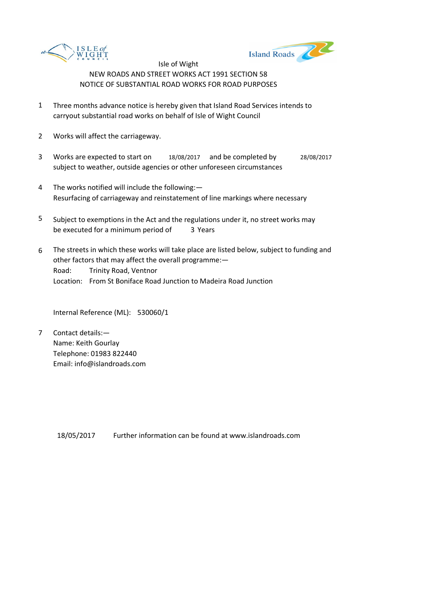



- 1 Three months advance notice is hereby given that Island Road Services intends to carryout substantial road works on behalf of Isle of Wight Council
- 2 Works will affect the carriageway.
- 3 Works are expected to start on 18/08/2017 and be completed by 28/08/2017 subject to weather, outside agencies or other unforeseen circumstances
- 4 The works notified will include the following:— Resurfacing of carriageway and reinstatement of line markings where necessary
- 5 be executed for a minimum period of 3 Years Subject to exemptions in the Act and the regulations under it, no street works may
- 6 Road: Trinity Road, Ventnor Location: From St Boniface Road Junction to Madeira Road Junction The streets in which these works will take place are listed below, subject to funding and other factors that may affect the overall programme:—

Internal Reference (ML): 530060/1

7 Contact details:— Name: Keith Gourlay Telephone: 01983 822440 Email: info@islandroads.com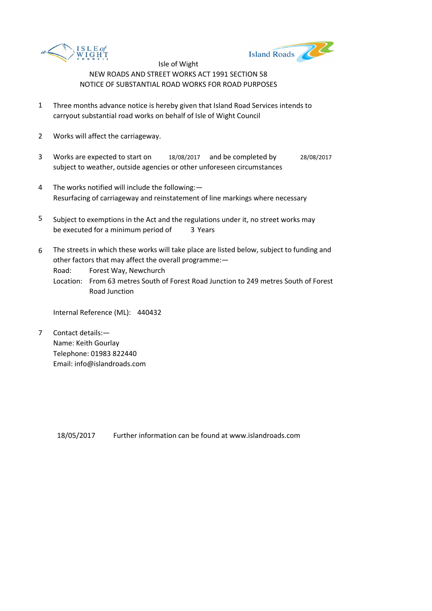



- 1 Three months advance notice is hereby given that Island Road Services intends to carryout substantial road works on behalf of Isle of Wight Council
- 2 Works will affect the carriageway.
- 3 Works are expected to start on 18/08/2017 and be completed by 28/08/2017 subject to weather, outside agencies or other unforeseen circumstances
- 4 The works notified will include the following:— Resurfacing of carriageway and reinstatement of line markings where necessary
- 5 be executed for a minimum period of 3 Years Subject to exemptions in the Act and the regulations under it, no street works may
- 6 The streets in which these works will take place are listed below, subject to funding and other factors that may affect the overall programme:—

Road: Forest Way, Newchurch

Location: From 63 metres South of Forest Road Junction to 249 metres South of Forest Road Junction

Internal Reference (ML): 440432

7 Contact details:— Name: Keith Gourlay Telephone: 01983 822440 Email: info@islandroads.com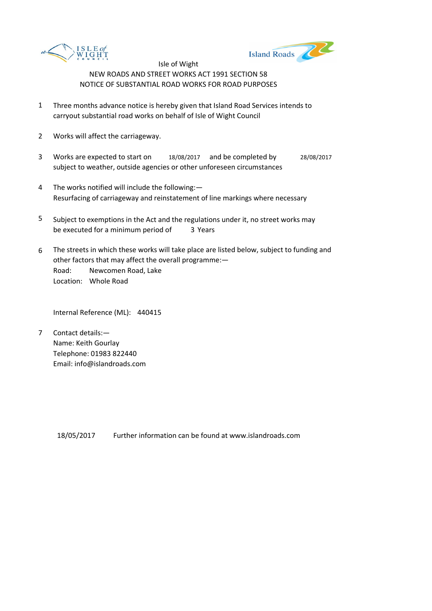



- 1 Three months advance notice is hereby given that Island Road Services intends to carryout substantial road works on behalf of Isle of Wight Council
- 2 Works will affect the carriageway.
- 3 Works are expected to start on 18/08/2017 and be completed by 28/08/2017 subject to weather, outside agencies or other unforeseen circumstances
- 4 The works notified will include the following:— Resurfacing of carriageway and reinstatement of line markings where necessary
- 5 be executed for a minimum period of 3 Years Subject to exemptions in the Act and the regulations under it, no street works may
- 6 Road: Newcomen Road, Lake Location: Whole Road The streets in which these works will take place are listed below, subject to funding and other factors that may affect the overall programme:—

Internal Reference (ML): 440415

7 Contact details:— Name: Keith Gourlay Telephone: 01983 822440 Email: info@islandroads.com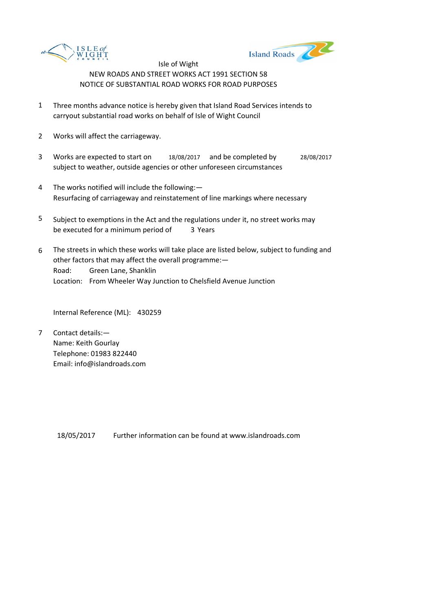



- 1 Three months advance notice is hereby given that Island Road Services intends to carryout substantial road works on behalf of Isle of Wight Council
- 2 Works will affect the carriageway.
- 3 Works are expected to start on 18/08/2017 and be completed by 28/08/2017 subject to weather, outside agencies or other unforeseen circumstances
- 4 The works notified will include the following:— Resurfacing of carriageway and reinstatement of line markings where necessary
- 5 be executed for a minimum period of 3 Years Subject to exemptions in the Act and the regulations under it, no street works may
- 6 Road: Green Lane, Shanklin Location: From Wheeler Way Junction to Chelsfield Avenue Junction The streets in which these works will take place are listed below, subject to funding and other factors that may affect the overall programme:—

Internal Reference (ML): 430259

7 Contact details:— Name: Keith Gourlay Telephone: 01983 822440 Email: info@islandroads.com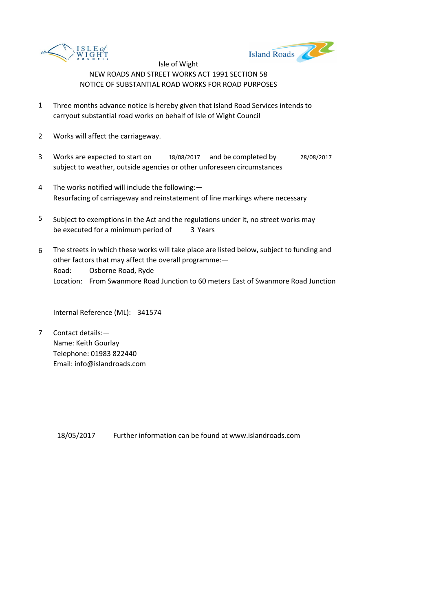



- 1 Three months advance notice is hereby given that Island Road Services intends to carryout substantial road works on behalf of Isle of Wight Council
- 2 Works will affect the carriageway.
- 3 Works are expected to start on 18/08/2017 and be completed by 28/08/2017 subject to weather, outside agencies or other unforeseen circumstances
- 4 The works notified will include the following:— Resurfacing of carriageway and reinstatement of line markings where necessary
- 5 be executed for a minimum period of 3 Years Subject to exemptions in the Act and the regulations under it, no street works may
- 6 Road: Osborne Road, Ryde Location: From Swanmore Road Junction to 60 meters East of Swanmore Road Junction The streets in which these works will take place are listed below, subject to funding and other factors that may affect the overall programme:—

Internal Reference (ML): 341574

7 Contact details:— Name: Keith Gourlay Telephone: 01983 822440 Email: info@islandroads.com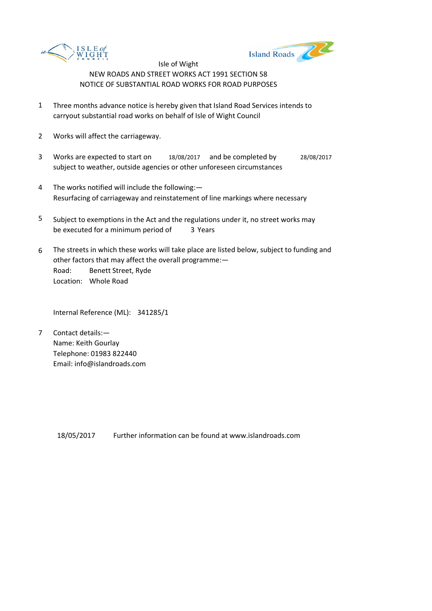



- 1 Three months advance notice is hereby given that Island Road Services intends to carryout substantial road works on behalf of Isle of Wight Council
- 2 Works will affect the carriageway.
- 3 Works are expected to start on 18/08/2017 and be completed by 28/08/2017 subject to weather, outside agencies or other unforeseen circumstances
- 4 The works notified will include the following:— Resurfacing of carriageway and reinstatement of line markings where necessary
- 5 be executed for a minimum period of 3 Years Subject to exemptions in the Act and the regulations under it, no street works may
- 6 Road: Benett Street, Ryde Location: Whole Road The streets in which these works will take place are listed below, subject to funding and other factors that may affect the overall programme:—

Internal Reference (ML): 341285/1

7 Contact details:— Name: Keith Gourlay Telephone: 01983 822440 Email: info@islandroads.com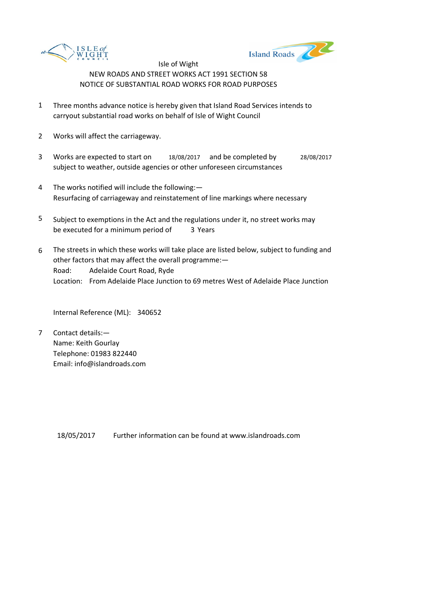



- 1 Three months advance notice is hereby given that Island Road Services intends to carryout substantial road works on behalf of Isle of Wight Council
- 2 Works will affect the carriageway.
- 3 Works are expected to start on 18/08/2017 and be completed by 28/08/2017 subject to weather, outside agencies or other unforeseen circumstances
- 4 The works notified will include the following:— Resurfacing of carriageway and reinstatement of line markings where necessary
- 5 be executed for a minimum period of 3 Years Subject to exemptions in the Act and the regulations under it, no street works may
- 6 Road: Adelaide Court Road, Ryde Location: From Adelaide Place Junction to 69 metres West of Adelaide Place Junction The streets in which these works will take place are listed below, subject to funding and other factors that may affect the overall programme:—

Internal Reference (ML): 340652

7 Contact details:— Name: Keith Gourlay Telephone: 01983 822440 Email: info@islandroads.com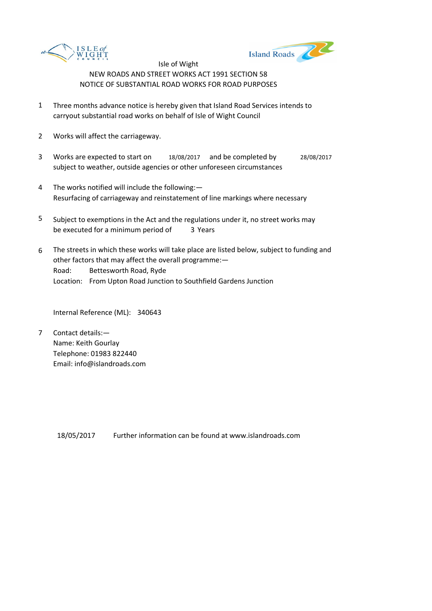



- 1 Three months advance notice is hereby given that Island Road Services intends to carryout substantial road works on behalf of Isle of Wight Council
- 2 Works will affect the carriageway.
- 3 Works are expected to start on 18/08/2017 and be completed by 28/08/2017 subject to weather, outside agencies or other unforeseen circumstances
- 4 The works notified will include the following:— Resurfacing of carriageway and reinstatement of line markings where necessary
- 5 be executed for a minimum period of 3 Years Subject to exemptions in the Act and the regulations under it, no street works may
- 6 Road: Bettesworth Road, Ryde Location: From Upton Road Junction to Southfield Gardens Junction The streets in which these works will take place are listed below, subject to funding and other factors that may affect the overall programme:—

Internal Reference (ML): 340643

7 Contact details:— Name: Keith Gourlay Telephone: 01983 822440 Email: info@islandroads.com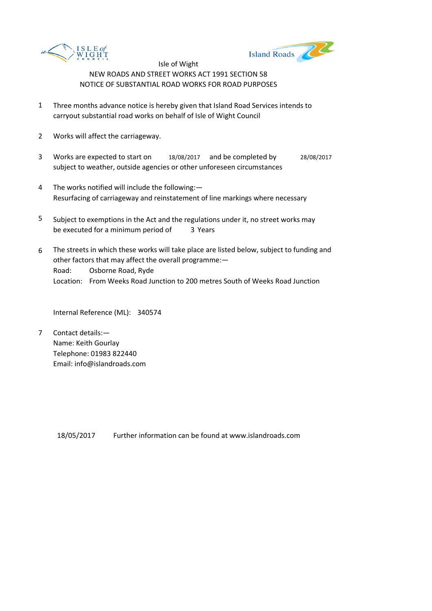



- 1 Three months advance notice is hereby given that Island Road Services intends to carryout substantial road works on behalf of Isle of Wight Council
- 2 Works will affect the carriageway.
- 3 Works are expected to start on 18/08/2017 and be completed by 28/08/2017 subject to weather, outside agencies or other unforeseen circumstances
- 4 The works notified will include the following:— Resurfacing of carriageway and reinstatement of line markings where necessary
- 5 be executed for a minimum period of 3 Years Subject to exemptions in the Act and the regulations under it, no street works may
- 6 Road: Osborne Road, Ryde Location: From Weeks Road Junction to 200 metres South of Weeks Road Junction The streets in which these works will take place are listed below, subject to funding and other factors that may affect the overall programme:—

Internal Reference (ML): 340574

7 Contact details:— Name: Keith Gourlay Telephone: 01983 822440 Email: info@islandroads.com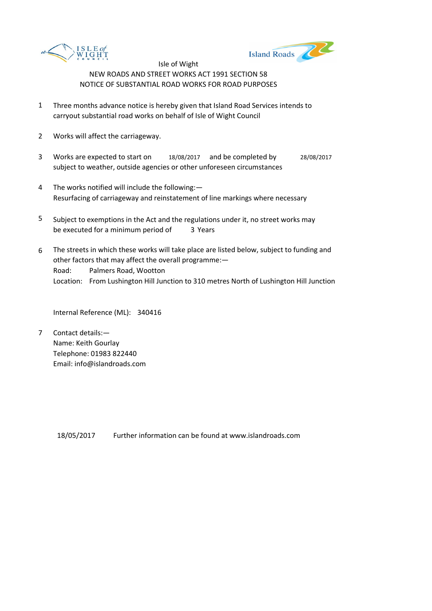



- 1 Three months advance notice is hereby given that Island Road Services intends to carryout substantial road works on behalf of Isle of Wight Council
- 2 Works will affect the carriageway.
- 3 Works are expected to start on 18/08/2017 and be completed by 28/08/2017 subject to weather, outside agencies or other unforeseen circumstances
- 4 The works notified will include the following:— Resurfacing of carriageway and reinstatement of line markings where necessary
- 5 be executed for a minimum period of 3 Years Subject to exemptions in the Act and the regulations under it, no street works may
- 6 Road: Palmers Road, Wootton Location: From Lushington Hill Junction to 310 metres North of Lushington Hill Junction The streets in which these works will take place are listed below, subject to funding and other factors that may affect the overall programme:—

Internal Reference (ML): 340416

7 Contact details:— Name: Keith Gourlay Telephone: 01983 822440 Email: info@islandroads.com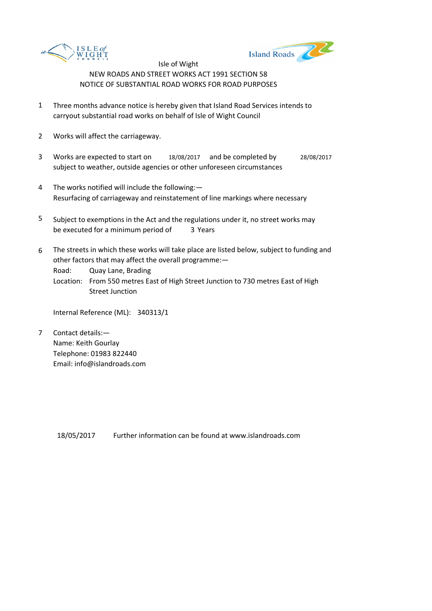



- 1 Three months advance notice is hereby given that Island Road Services intends to carryout substantial road works on behalf of Isle of Wight Council
- 2 Works will affect the carriageway.
- 3 Works are expected to start on 18/08/2017 and be completed by 28/08/2017 subject to weather, outside agencies or other unforeseen circumstances
- 4 The works notified will include the following:— Resurfacing of carriageway and reinstatement of line markings where necessary
- 5 be executed for a minimum period of 3 Years Subject to exemptions in the Act and the regulations under it, no street works may
- 6 The streets in which these works will take place are listed below, subject to funding and other factors that may affect the overall programme:—

Road: Quay Lane, Brading

Location: From 550 metres East of High Street Junction to 730 metres East of High Street Junction

Internal Reference (ML): 340313/1

7 Contact details:— Name: Keith Gourlay Telephone: 01983 822440 Email: info@islandroads.com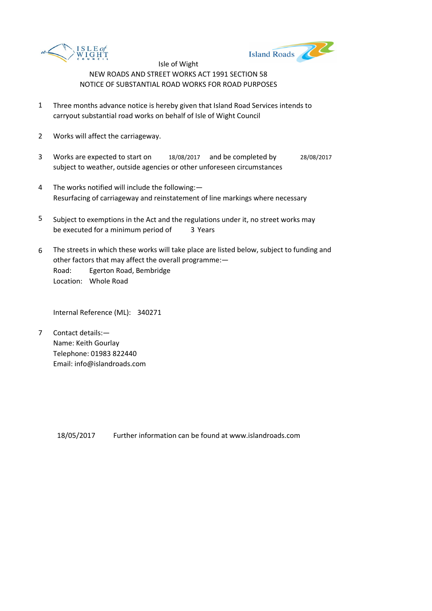



- 1 Three months advance notice is hereby given that Island Road Services intends to carryout substantial road works on behalf of Isle of Wight Council
- 2 Works will affect the carriageway.
- 3 Works are expected to start on 18/08/2017 and be completed by 28/08/2017 subject to weather, outside agencies or other unforeseen circumstances
- 4 The works notified will include the following:— Resurfacing of carriageway and reinstatement of line markings where necessary
- 5 be executed for a minimum period of 3 Years Subject to exemptions in the Act and the regulations under it, no street works may
- 6 Road: Egerton Road, Bembridge Location: Whole Road The streets in which these works will take place are listed below, subject to funding and other factors that may affect the overall programme:—

Internal Reference (ML): 340271

7 Contact details:— Name: Keith Gourlay Telephone: 01983 822440 Email: info@islandroads.com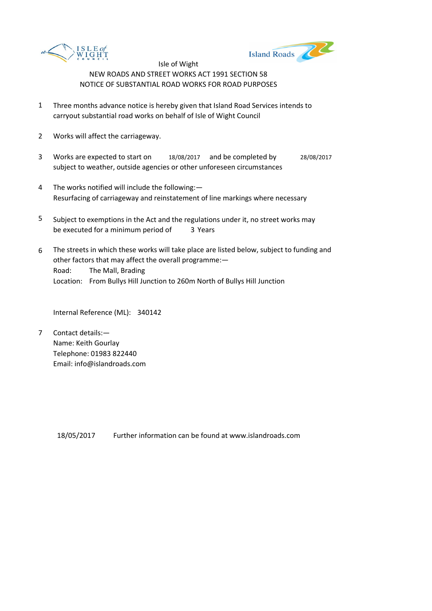



- 1 Three months advance notice is hereby given that Island Road Services intends to carryout substantial road works on behalf of Isle of Wight Council
- 2 Works will affect the carriageway.
- 3 Works are expected to start on 18/08/2017 and be completed by 28/08/2017 subject to weather, outside agencies or other unforeseen circumstances
- 4 The works notified will include the following:— Resurfacing of carriageway and reinstatement of line markings where necessary
- 5 be executed for a minimum period of 3 Years Subject to exemptions in the Act and the regulations under it, no street works may
- 6 Road: The Mall, Brading Location: From Bullys Hill Junction to 260m North of Bullys Hill Junction The streets in which these works will take place are listed below, subject to funding and other factors that may affect the overall programme:—

Internal Reference (ML): 340142

7 Contact details:— Name: Keith Gourlay Telephone: 01983 822440 Email: info@islandroads.com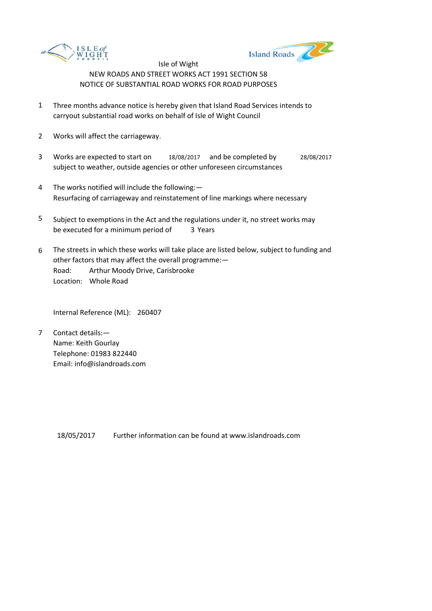



- 1 Three months advance notice is hereby given that Island Road Services intends to carryout substantial road works on behalf of Isle of Wight Council
- 2 Works will affect the carriageway.
- 3 Works are expected to start on 18/08/2017 and be completed by 28/08/2017 subject to weather, outside agencies or other unforeseen circumstances
- 4 The works notified will include the following:— Resurfacing of carriageway and reinstatement of line markings where necessary
- 5 be executed for a minimum period of 3 Years Subject to exemptions in the Act and the regulations under it, no street works may
- 6 Road: Arthur Moody Drive, Carisbrooke Location: Whole Road The streets in which these works will take place are listed below, subject to funding and other factors that may affect the overall programme:—

Internal Reference (ML): 260407

7 Contact details:— Name: Keith Gourlay Telephone: 01983 822440 Email: info@islandroads.com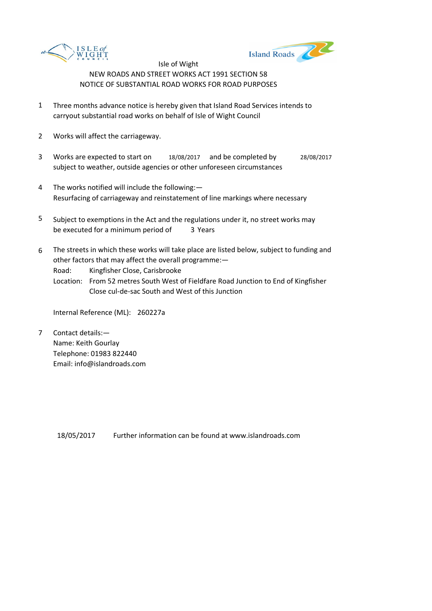



- 1 Three months advance notice is hereby given that Island Road Services intends to carryout substantial road works on behalf of Isle of Wight Council
- 2 Works will affect the carriageway.
- 3 Works are expected to start on 18/08/2017 and be completed by 28/08/2017 subject to weather, outside agencies or other unforeseen circumstances
- 4 The works notified will include the following:— Resurfacing of carriageway and reinstatement of line markings where necessary
- 5 be executed for a minimum period of 3 Years Subject to exemptions in the Act and the regulations under it, no street works may
- 6 The streets in which these works will take place are listed below, subject to funding and other factors that may affect the overall programme:—

Road: Kingfisher Close, Carisbrooke

Location: From 52 metres South West of Fieldfare Road Junction to End of Kingfisher Close cul-de-sac South and West of this Junction

Internal Reference (ML): 260227a

7 Contact details:— Name: Keith Gourlay Telephone: 01983 822440 Email: info@islandroads.com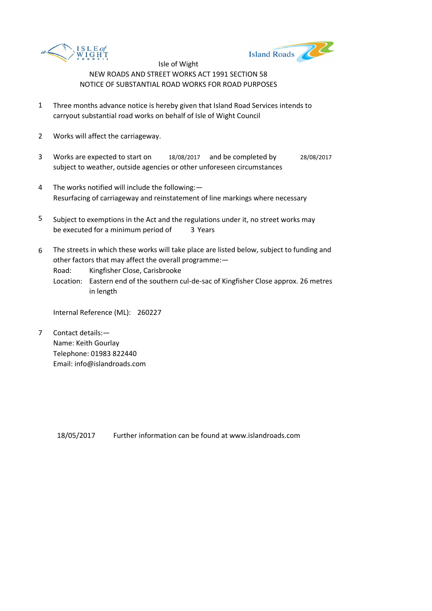



- 1 Three months advance notice is hereby given that Island Road Services intends to carryout substantial road works on behalf of Isle of Wight Council
- 2 Works will affect the carriageway.
- 3 Works are expected to start on 18/08/2017 and be completed by 28/08/2017 subject to weather, outside agencies or other unforeseen circumstances
- 4 The works notified will include the following:— Resurfacing of carriageway and reinstatement of line markings where necessary
- 5 be executed for a minimum period of 3 Years Subject to exemptions in the Act and the regulations under it, no street works may
- 6 The streets in which these works will take place are listed below, subject to funding and other factors that may affect the overall programme:—

Road: Kingfisher Close, Carisbrooke

Location: Eastern end of the southern cul-de-sac of Kingfisher Close approx. 26 metres in length

Internal Reference (ML): 260227

7 Contact details:— Name: Keith Gourlay Telephone: 01983 822440 Email: info@islandroads.com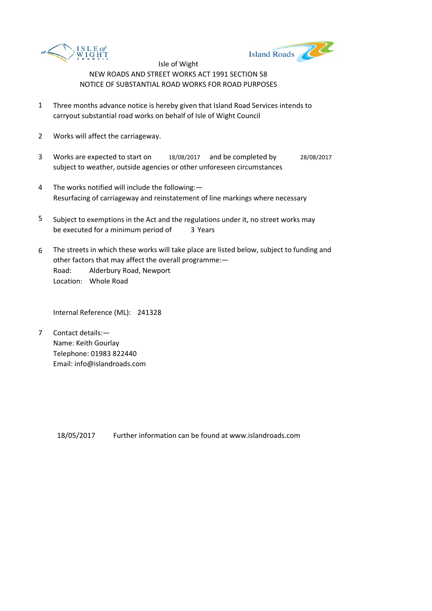



- 1 Three months advance notice is hereby given that Island Road Services intends to carryout substantial road works on behalf of Isle of Wight Council
- 2 Works will affect the carriageway.
- 3 Works are expected to start on 18/08/2017 and be completed by 28/08/2017 subject to weather, outside agencies or other unforeseen circumstances
- 4 The works notified will include the following:— Resurfacing of carriageway and reinstatement of line markings where necessary
- 5 be executed for a minimum period of 3 Years Subject to exemptions in the Act and the regulations under it, no street works may
- 6 Road: Alderbury Road, Newport Location: Whole Road The streets in which these works will take place are listed below, subject to funding and other factors that may affect the overall programme:—

Internal Reference (ML): 241328

7 Contact details:— Name: Keith Gourlay Telephone: 01983 822440 Email: info@islandroads.com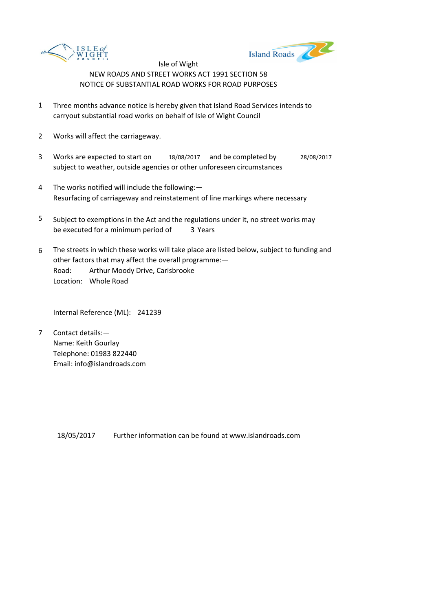



- 1 Three months advance notice is hereby given that Island Road Services intends to carryout substantial road works on behalf of Isle of Wight Council
- 2 Works will affect the carriageway.
- 3 Works are expected to start on 18/08/2017 and be completed by 28/08/2017 subject to weather, outside agencies or other unforeseen circumstances
- 4 The works notified will include the following:— Resurfacing of carriageway and reinstatement of line markings where necessary
- 5 be executed for a minimum period of 3 Years Subject to exemptions in the Act and the regulations under it, no street works may
- 6 Road: Arthur Moody Drive, Carisbrooke Location: Whole Road The streets in which these works will take place are listed below, subject to funding and other factors that may affect the overall programme:—

Internal Reference (ML): 241239

7 Contact details:— Name: Keith Gourlay Telephone: 01983 822440 Email: info@islandroads.com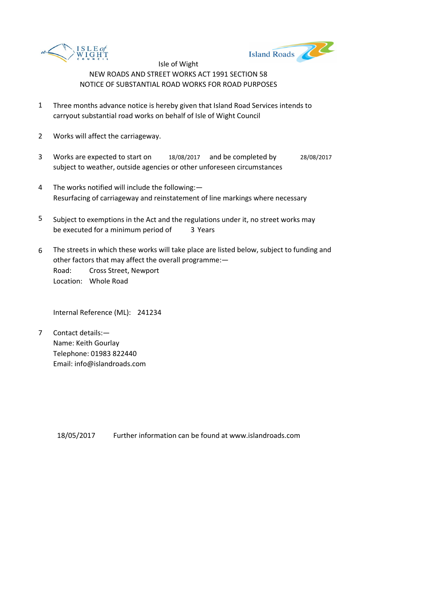



- 1 Three months advance notice is hereby given that Island Road Services intends to carryout substantial road works on behalf of Isle of Wight Council
- 2 Works will affect the carriageway.
- 3 Works are expected to start on 18/08/2017 and be completed by 28/08/2017 subject to weather, outside agencies or other unforeseen circumstances
- 4 The works notified will include the following:— Resurfacing of carriageway and reinstatement of line markings where necessary
- 5 be executed for a minimum period of 3 Years Subject to exemptions in the Act and the regulations under it, no street works may
- 6 Road: Cross Street, Newport Location: Whole Road The streets in which these works will take place are listed below, subject to funding and other factors that may affect the overall programme:—

Internal Reference (ML): 241234

7 Contact details:— Name: Keith Gourlay Telephone: 01983 822440 Email: info@islandroads.com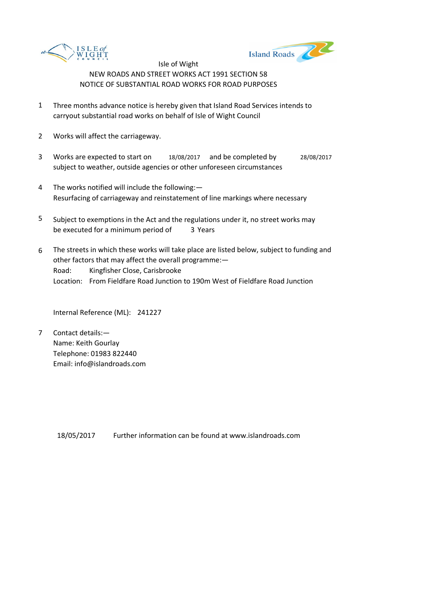



- 1 Three months advance notice is hereby given that Island Road Services intends to carryout substantial road works on behalf of Isle of Wight Council
- 2 Works will affect the carriageway.
- 3 Works are expected to start on 18/08/2017 and be completed by 28/08/2017 subject to weather, outside agencies or other unforeseen circumstances
- 4 The works notified will include the following:— Resurfacing of carriageway and reinstatement of line markings where necessary
- 5 be executed for a minimum period of 3 Years Subject to exemptions in the Act and the regulations under it, no street works may
- 6 Road: Kingfisher Close, Carisbrooke Location: From Fieldfare Road Junction to 190m West of Fieldfare Road Junction The streets in which these works will take place are listed below, subject to funding and other factors that may affect the overall programme:—

Internal Reference (ML): 241227

7 Contact details:— Name: Keith Gourlay Telephone: 01983 822440 Email: info@islandroads.com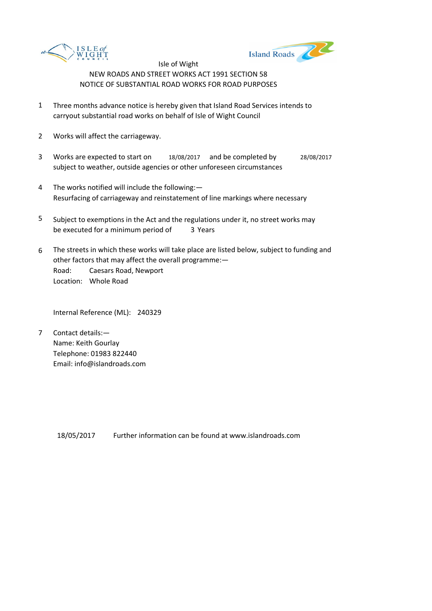



- 1 Three months advance notice is hereby given that Island Road Services intends to carryout substantial road works on behalf of Isle of Wight Council
- 2 Works will affect the carriageway.
- 3 Works are expected to start on 18/08/2017 and be completed by 28/08/2017 subject to weather, outside agencies or other unforeseen circumstances
- 4 The works notified will include the following:— Resurfacing of carriageway and reinstatement of line markings where necessary
- 5 be executed for a minimum period of 3 Years Subject to exemptions in the Act and the regulations under it, no street works may
- 6 Road: Caesars Road, Newport Location: Whole Road The streets in which these works will take place are listed below, subject to funding and other factors that may affect the overall programme:—

Internal Reference (ML): 240329

7 Contact details:— Name: Keith Gourlay Telephone: 01983 822440 Email: info@islandroads.com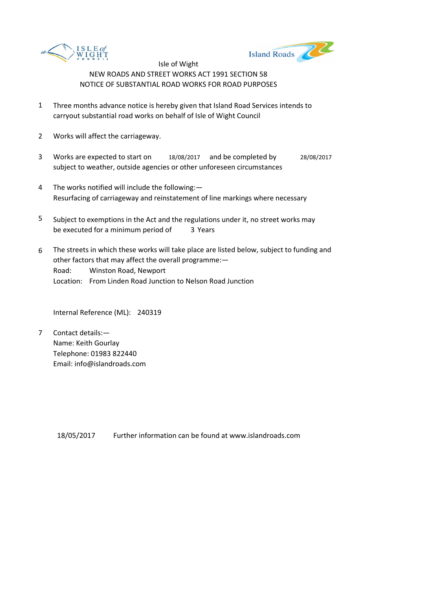



- 1 Three months advance notice is hereby given that Island Road Services intends to carryout substantial road works on behalf of Isle of Wight Council
- 2 Works will affect the carriageway.
- 3 Works are expected to start on 18/08/2017 and be completed by 28/08/2017 subject to weather, outside agencies or other unforeseen circumstances
- 4 The works notified will include the following:— Resurfacing of carriageway and reinstatement of line markings where necessary
- 5 be executed for a minimum period of 3 Years Subject to exemptions in the Act and the regulations under it, no street works may
- 6 Road: Winston Road, Newport Location: From Linden Road Junction to Nelson Road Junction The streets in which these works will take place are listed below, subject to funding and other factors that may affect the overall programme:—

Internal Reference (ML): 240319

7 Contact details:— Name: Keith Gourlay Telephone: 01983 822440 Email: info@islandroads.com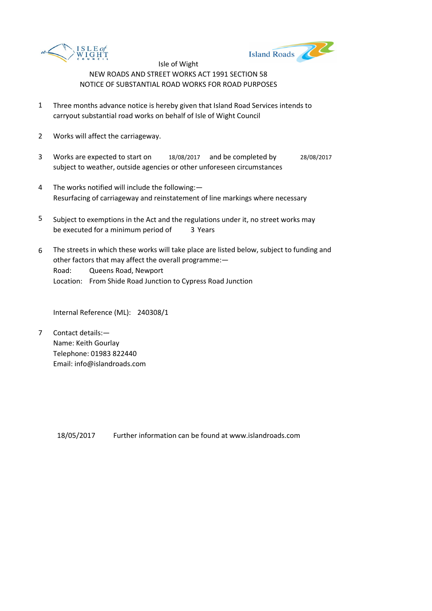



- 1 Three months advance notice is hereby given that Island Road Services intends to carryout substantial road works on behalf of Isle of Wight Council
- 2 Works will affect the carriageway.
- 3 Works are expected to start on 18/08/2017 and be completed by 28/08/2017 subject to weather, outside agencies or other unforeseen circumstances
- 4 The works notified will include the following:— Resurfacing of carriageway and reinstatement of line markings where necessary
- 5 be executed for a minimum period of 3 Years Subject to exemptions in the Act and the regulations under it, no street works may
- 6 Road: Queens Road, Newport Location: From Shide Road Junction to Cypress Road Junction The streets in which these works will take place are listed below, subject to funding and other factors that may affect the overall programme:—

Internal Reference (ML): 240308/1

7 Contact details:— Name: Keith Gourlay Telephone: 01983 822440 Email: info@islandroads.com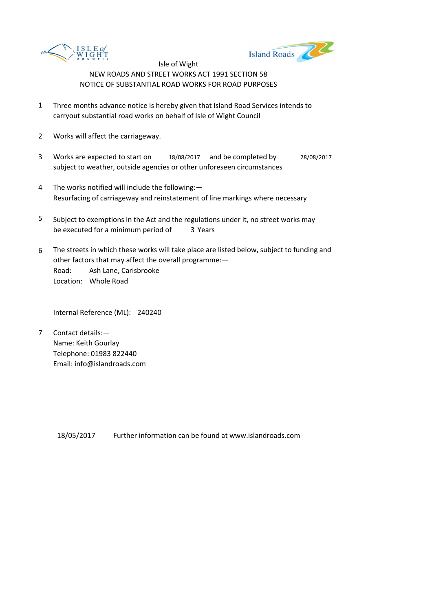



- 1 Three months advance notice is hereby given that Island Road Services intends to carryout substantial road works on behalf of Isle of Wight Council
- 2 Works will affect the carriageway.
- 3 Works are expected to start on 18/08/2017 and be completed by 28/08/2017 subject to weather, outside agencies or other unforeseen circumstances
- 4 The works notified will include the following:— Resurfacing of carriageway and reinstatement of line markings where necessary
- 5 be executed for a minimum period of 3 Years Subject to exemptions in the Act and the regulations under it, no street works may
- 6 Road: Ash Lane, Carisbrooke Location: Whole Road The streets in which these works will take place are listed below, subject to funding and other factors that may affect the overall programme:—

Internal Reference (ML): 240240

7 Contact details:— Name: Keith Gourlay Telephone: 01983 822440 Email: info@islandroads.com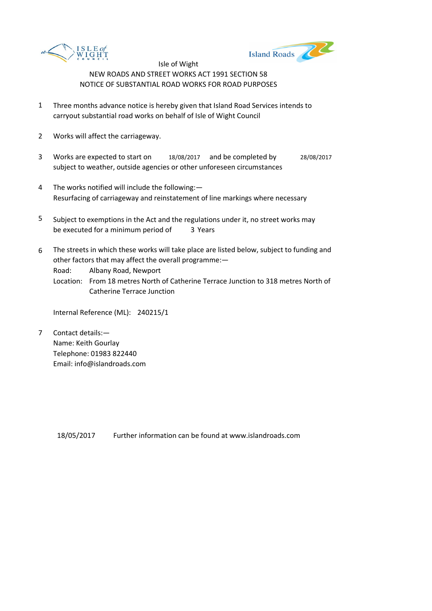



- 1 Three months advance notice is hereby given that Island Road Services intends to carryout substantial road works on behalf of Isle of Wight Council
- 2 Works will affect the carriageway.
- 3 Works are expected to start on 18/08/2017 and be completed by 28/08/2017 subject to weather, outside agencies or other unforeseen circumstances
- 4 The works notified will include the following:— Resurfacing of carriageway and reinstatement of line markings where necessary
- 5 be executed for a minimum period of 3 Years Subject to exemptions in the Act and the regulations under it, no street works may
- 6 The streets in which these works will take place are listed below, subject to funding and other factors that may affect the overall programme:—

Road: Albany Road, Newport

Location: From 18 metres North of Catherine Terrace Junction to 318 metres North of Catherine Terrace Junction

Internal Reference (ML): 240215/1

7 Contact details:— Name: Keith Gourlay Telephone: 01983 822440 Email: info@islandroads.com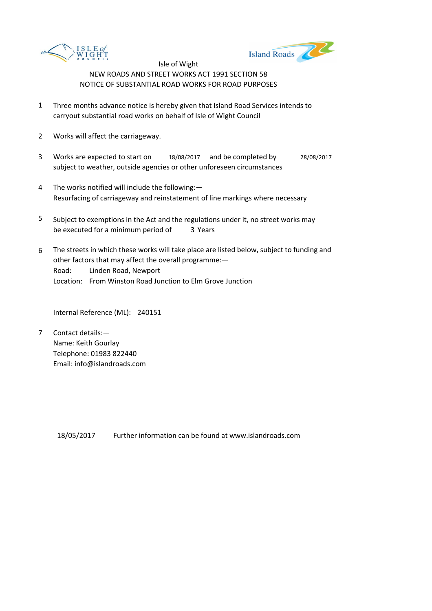



- 1 Three months advance notice is hereby given that Island Road Services intends to carryout substantial road works on behalf of Isle of Wight Council
- 2 Works will affect the carriageway.
- 3 Works are expected to start on 18/08/2017 and be completed by 28/08/2017 subject to weather, outside agencies or other unforeseen circumstances
- 4 The works notified will include the following:— Resurfacing of carriageway and reinstatement of line markings where necessary
- 5 be executed for a minimum period of 3 Years Subject to exemptions in the Act and the regulations under it, no street works may
- 6 Road: Linden Road, Newport Location: From Winston Road Junction to Elm Grove Junction The streets in which these works will take place are listed below, subject to funding and other factors that may affect the overall programme:—

Internal Reference (ML): 240151

7 Contact details:— Name: Keith Gourlay Telephone: 01983 822440 Email: info@islandroads.com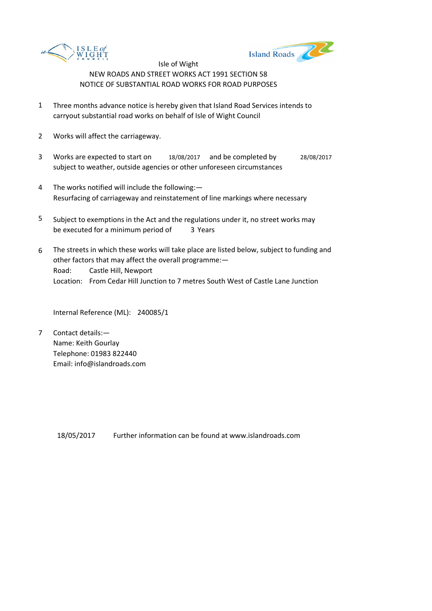



- 1 Three months advance notice is hereby given that Island Road Services intends to carryout substantial road works on behalf of Isle of Wight Council
- 2 Works will affect the carriageway.
- 3 Works are expected to start on 18/08/2017 and be completed by 28/08/2017 subject to weather, outside agencies or other unforeseen circumstances
- 4 The works notified will include the following:— Resurfacing of carriageway and reinstatement of line markings where necessary
- 5 be executed for a minimum period of 3 Years Subject to exemptions in the Act and the regulations under it, no street works may
- 6 Road: Castle Hill, Newport Location: From Cedar Hill Junction to 7 metres South West of Castle Lane Junction The streets in which these works will take place are listed below, subject to funding and other factors that may affect the overall programme:—

Internal Reference (ML): 240085/1

7 Contact details:— Name: Keith Gourlay Telephone: 01983 822440 Email: info@islandroads.com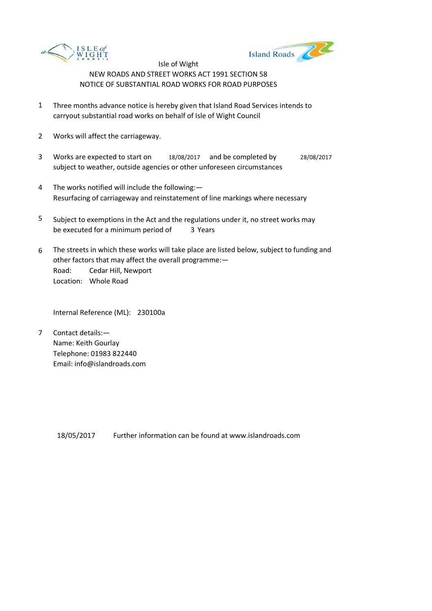



- 1 Three months advance notice is hereby given that Island Road Services intends to carryout substantial road works on behalf of Isle of Wight Council
- 2 Works will affect the carriageway.
- 3 Works are expected to start on 18/08/2017 and be completed by 28/08/2017 subject to weather, outside agencies or other unforeseen circumstances
- 4 The works notified will include the following:— Resurfacing of carriageway and reinstatement of line markings where necessary
- 5 be executed for a minimum period of 3 Years Subject to exemptions in the Act and the regulations under it, no street works may
- 6 Road: Cedar Hill, Newport Location: Whole Road The streets in which these works will take place are listed below, subject to funding and other factors that may affect the overall programme:—

Internal Reference (ML): 230100a

7 Contact details:— Name: Keith Gourlay Telephone: 01983 822440 Email: info@islandroads.com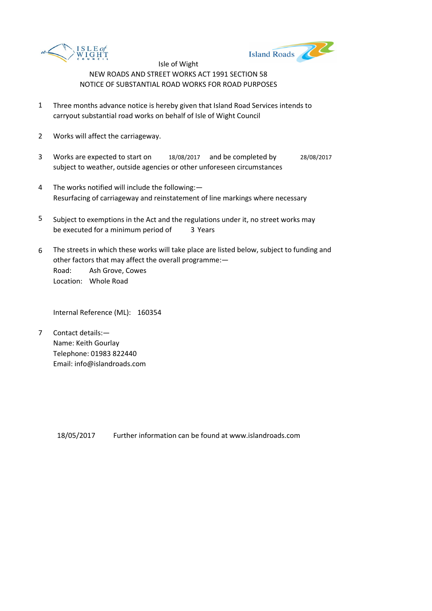



- 1 Three months advance notice is hereby given that Island Road Services intends to carryout substantial road works on behalf of Isle of Wight Council
- 2 Works will affect the carriageway.
- 3 Works are expected to start on 18/08/2017 and be completed by 28/08/2017 subject to weather, outside agencies or other unforeseen circumstances
- 4 The works notified will include the following:— Resurfacing of carriageway and reinstatement of line markings where necessary
- 5 be executed for a minimum period of 3 Years Subject to exemptions in the Act and the regulations under it, no street works may
- 6 Road: Ash Grove, Cowes Location: Whole Road The streets in which these works will take place are listed below, subject to funding and other factors that may affect the overall programme:—

Internal Reference (ML): 160354

7 Contact details:— Name: Keith Gourlay Telephone: 01983 822440 Email: info@islandroads.com